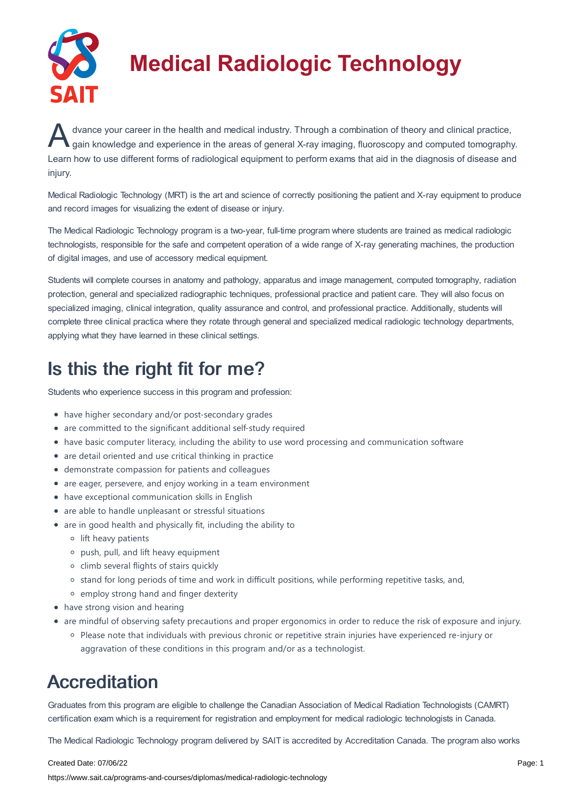

# **Medical Radiologic Technology**

A dvance your career in the health and medical industry. Through a combination of theory and clinical practice,<br>gain knowledge and experience in the areas of general X-ray imaging, fluoroscopy and computed tomography. dvance your career in the health and medical industry. Through a combination of theory and clinical practice, Learn how to use different forms of radiological equipment to perform exams that aid in the diagnosis of disease and injury.

Medical Radiologic Technology (MRT) is the art and science of correctly positioning the patient and X-ray equipment to produce and record images for visualizing the extent of disease or injury.

The Medical Radiologic Technology program is a two-year, full-time program where students are trained as medical radiologic technologists, responsible for the safe and competent operation of a wide range of X-ray generating machines, the production of digital images, and use of accessory medical equipment.

Students will complete courses in anatomy and pathology, apparatus and image management, computed tomography, radiation protection, general and specialized radiographic techniques, professional practice and patient care. They will also focus on specialized imaging, clinical integration, quality assurance and control, and professional practice. Additionally, students will complete three clinical practica where they rotate through general and specialized medical radiologic technology departments, applying what they have learned in these clinical settings.

## Is this the right fit for me?

Students who experience success in this program and profession:

- have higher secondary and/or post-secondary grades
- are committed to the significant additional self-study required
- have basic computer literacy, including the ability to use word processing and communication software
- are detail oriented and use critical thinking in practice
- demonstrate compassion for patients and colleagues
- are eager, persevere, and enjoy working in a team environment
- have exceptional communication skills in English
- are able to handle unpleasant or stressful situations
- are in good health and physically fit, including the ability to
	- o lift heavy patients
	- push, pull, and lift heavy equipment
	- $\circ$  climb several flights of stairs quickly
	- o stand for long periods of time and work in difficult positions, while performing repetitive tasks, and,
	- employ strong hand and finger dexterity
- have strong vision and hearing
- are mindful of observing safety precautions and proper ergonomics in order to reduce the risk of exposure and injury.
	- Please note that individuals with previous chronic or repetitive strain injuries have experienced re-injury or aggravation of these conditions in this program and/or as a technologist.

## Accreditation

Graduates from this program are eligible to challenge the Canadian Association of Medical Radiation Technologists (CAMRT) certification exam which is a requirement for registration and employment for medical radiologic technologists in Canada.

The Medical Radiologic Technology program delivered by SAIT is accredited by Accreditation Canada. The program also works

#### Created Date: 07/06/22

https://www.sait.ca/programs-and-courses/diplomas/medical-radiologic-technology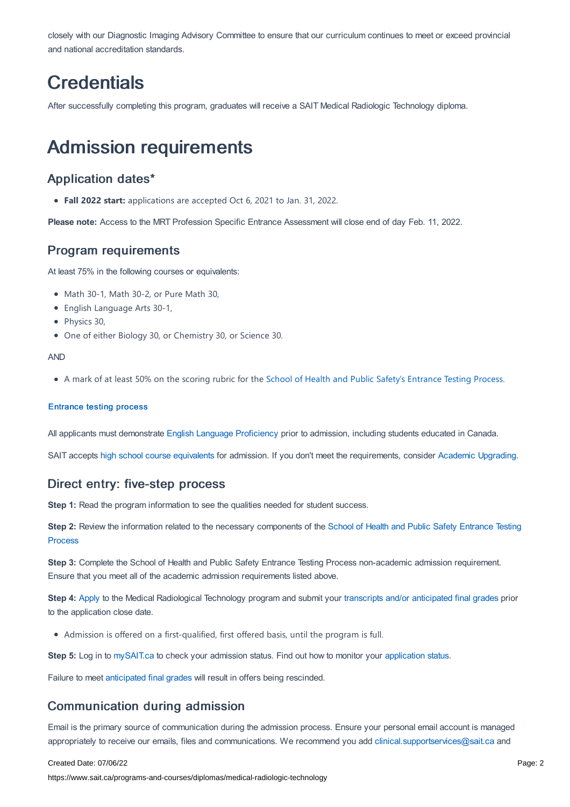closely with our Diagnostic Imaging Advisory Committee to ensure that our curriculum continues to meet or exceed provincial and national accreditation standards.

## **Credentials**

After successfully completing this program, graduates will receive a SAIT Medical Radiologic Technology diploma.

## Admission requirements

### Application dates\*

**Fall 2022 start:** applications are accepted Oct 6, 2021 to Jan. 31, 2022.

**Please note:** Access to the MRT Profession Specific Entrance Assessment will close end of day Feb. 11, 2022.

### Program requirements

At least 75% in the following courses or equivalents:

- Math 30-1, Math 30-2, or Pure Math 30,
- English Language Arts 30-1,
- Physics 30,
- One of either Biology 30, or Chemistry 30, or Science 30.

#### AND

A mark of at least 50% on the scoring rubric for the School of Health and Public Safety's [Entrance](https://www.sait.ca/sait-schools/school-of-health-and-public-safety/health-and-public-safety-entrance-testing) Testing Process.

#### [Entrance](https://www.sait.ca/sait-schools/school-of-health-and-public-safety/health-and-public-safety-entrance-testing) testing process

All applicants must demonstrate English Language [Proficiency](https://www.sait.ca/admissions/before-you-apply/english-proficiency) prior to admission, including students educated in Canada.

SAIT accepts high school course [equivalents](https://www.sait.ca/admissions/before-you-apply/high-school-course-equivalencies) for admission. If you don't meet the requirements, consider Academic [Upgrading.](https://www.sait.ca/programs-and-courses/academic-upgrading)

### Direct entry: five-step process

**Step 1:** Read the program information to see the qualities needed for student success.

**Step 2:** Review the information related to the necessary [components](https://www.sait.ca/sait-schools/school-of-health-and-public-safety/health-and-public-safety-entrance-testing) of the School of Health and Public Safety Entrance Testing Process

**Step 3:** Complete the School of Health and Public Safety Entrance Testing Process non-academic admission requirement. Ensure that you meet all of the academic admission requirements listed above.

**Step 4:** [Apply](https://www.sait.ca/admissions/apply) to the Medical Radiological Technology program and submit your transcripts and/or [anticipated](https://www.sait.ca/admissions/after-you-apply/transcripts-and-supporting-documents) final grades prior to the application close date.

Admission is offered on a first-qualified, first offered basis, until the program is full.

**Step 5:** Log in to [mySAIT.ca](http://www.mysait.ca) to check your admission status. Find out how to monitor your [application](https://www.sait.ca/admissions/after-you-apply/tracking-your-application) status.

Failure to meet [anticipated](https://www.sait.ca/admissions/after-you-apply/transcripts-and-supporting-documents) final grades will result in offers being rescinded.

### Communication during admission

Email is the primary source of communication during the admission process. Ensure your personal email account is managed appropriately to receive our emails, files and communications. We recommend you add [clinical.supportservices@sait.ca](https://sait.camailto:clinical.supportservices@sait.ca) and

#### Created Date: 07/06/22

https://www.sait.ca/programs-and-courses/diplomas/medical-radiologic-technology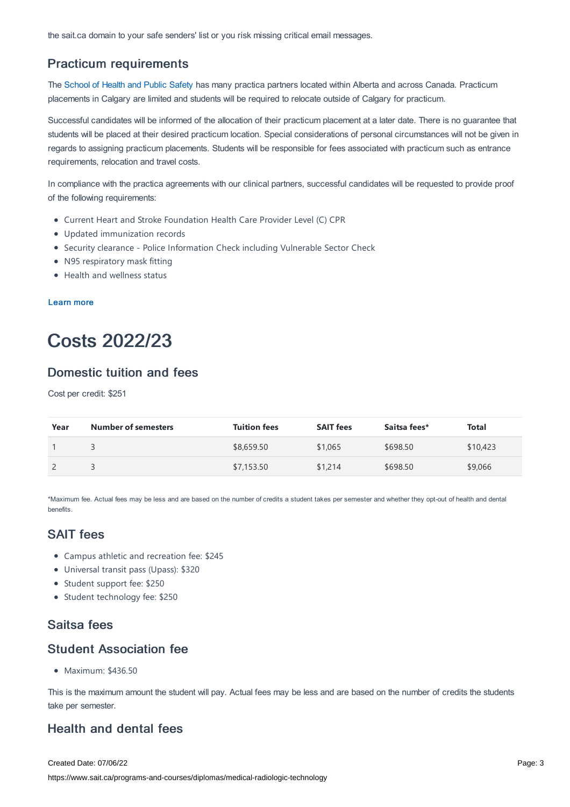the sait.ca domain to your safe senders' list or you risk missing critical email messages.

## Practicum requirements

The [School](https://www.sait.ca/sait-schools/school-of-health-and-public-safety) of Health and Public Safety has many practica partners located within Alberta and across Canada. Practicum placements in Calgary are limited and students will be required to relocate outside of Calgary for practicum.

Successful candidates will be informed of the allocation of their practicum placement at a later date. There is no guarantee that students will be placed at their desired practicum location. Special considerations of personal circumstances will not be given in regards to assigning practicum placements. Students will be responsible for fees associated with practicum such as entrance requirements, relocation and travel costs.

In compliance with the practica agreements with our clinical partners, successful candidates will be requested to provide proof of the following requirements:

- Current Heart and Stroke Foundation Health Care Provider Level (C) CPR
- Updated immunization records
- Security clearance Police Information Check including Vulnerable Sector Check
- N95 respiratory mask fitting
- Health and wellness status

#### [Learn](https://www.sait.ca/sait-schools/school-of-health-and-public-safety/health-and-public-safety-program-orientation-requirements) more

## Costs 2022/23

## Domestic tuition and fees

Cost per credit: \$251

| Year | <b>Number of semesters</b> | <b>Tuition fees</b> | <b>SAIT fees</b> | Saitsa fees* | Total    |
|------|----------------------------|---------------------|------------------|--------------|----------|
|      |                            | \$8,659.50          | \$1,065          | \$698.50     | \$10,423 |
|      |                            | \$7,153.50          | \$1,214          | \$698.50     | \$9,066  |

\*Maximum fee. Actual fees may be less and are based on the number of credits a student takes per semester and whether they opt-out of health and dental benefits.

## SAIT fees

- Campus athletic and recreation fee: \$245
- Universal transit pass (Upass): \$320
- Student support fee: \$250
- Student technology fee: \$250

### Saitsa fees

## Student Association fee

Maximum: \$436.50

This is the maximum amount the student will pay. Actual fees may be less and are based on the number of credits the students take per semester.

## Health and dental fees

Created Date: 07/06/22